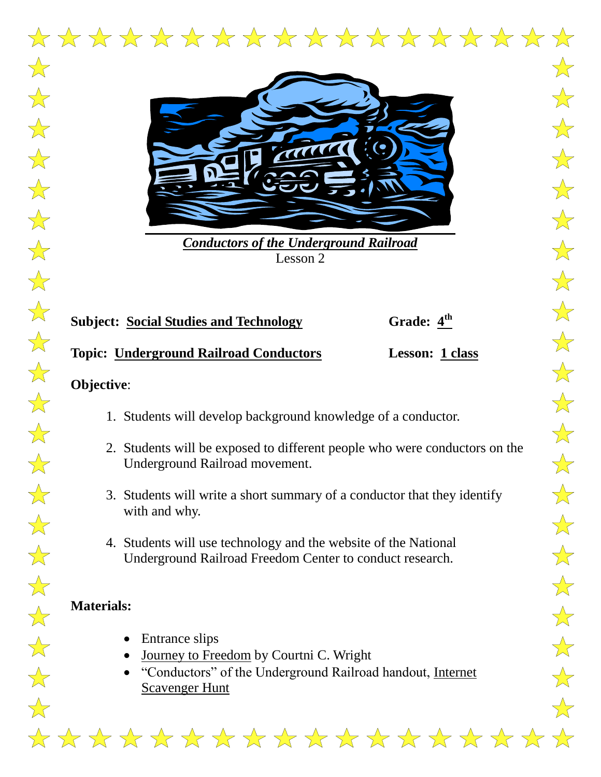

*Conductors of the Underground Railroad* Lesson 2

# **Subject: Social Studies and Technology**

# Grade:  $4<sup>th</sup>$

## **Topic: Underground Railroad Conductors Lesson: 1 class**

#### **Objective**:

- 1. Students will develop background knowledge of a conductor.
- 2. Students will be exposed to different people who were conductors on the Underground Railroad movement.
- 3. Students will write a short summary of a conductor that they identify with and why.
- 4. Students will use technology and the website of the National Underground Railroad Freedom Center to conduct research.

# **Materials:**

- Entrance slips
- Journey to Freedom by Courtni C. Wright
- "Conductors" of the Underground Railroad handout, Internet Scavenger Hunt